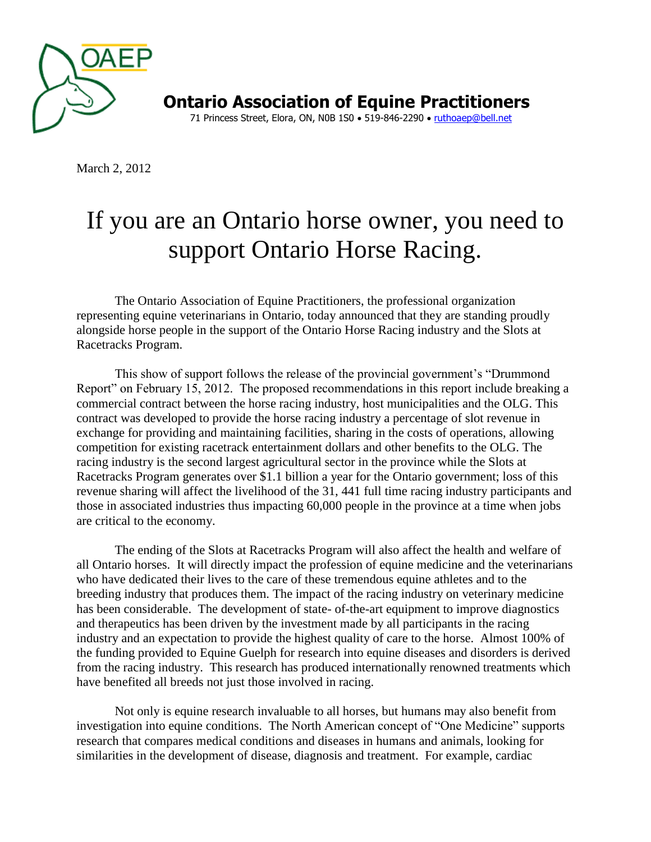

**Ontario Association of Equine Practitioners** 71 Princess Street, Elora, ON, N0B 1S0 . 519-846-2290 . [ruthoaep@bell.net](mailto:ruthoaep@bell.net)

March 2, 2012

## If you are an Ontario horse owner, you need to support Ontario Horse Racing.

The Ontario Association of Equine Practitioners, the professional organization representing equine veterinarians in Ontario, today announced that they are standing proudly alongside horse people in the support of the Ontario Horse Racing industry and the Slots at Racetracks Program.

This show of support follows the release of the provincial government's "Drummond Report" on February 15, 2012. The proposed recommendations in this report include breaking a commercial contract between the horse racing industry, host municipalities and the OLG. This contract was developed to provide the horse racing industry a percentage of slot revenue in exchange for providing and maintaining facilities, sharing in the costs of operations, allowing competition for existing racetrack entertainment dollars and other benefits to the OLG. The racing industry is the second largest agricultural sector in the province while the Slots at Racetracks Program generates over \$1.1 billion a year for the Ontario government; loss of this revenue sharing will affect the livelihood of the 31, 441 full time racing industry participants and those in associated industries thus impacting 60,000 people in the province at a time when jobs are critical to the economy.

The ending of the Slots at Racetracks Program will also affect the health and welfare of all Ontario horses. It will directly impact the profession of equine medicine and the veterinarians who have dedicated their lives to the care of these tremendous equine athletes and to the breeding industry that produces them. The impact of the racing industry on veterinary medicine has been considerable. The development of state- of-the-art equipment to improve diagnostics and therapeutics has been driven by the investment made by all participants in the racing industry and an expectation to provide the highest quality of care to the horse. Almost 100% of the funding provided to Equine Guelph for research into equine diseases and disorders is derived from the racing industry. This research has produced internationally renowned treatments which have benefited all breeds not just those involved in racing.

Not only is equine research invaluable to all horses, but humans may also benefit from investigation into equine conditions. The North American concept of "One Medicine" supports research that compares medical conditions and diseases in humans and animals, looking for similarities in the development of disease, diagnosis and treatment. For example, cardiac